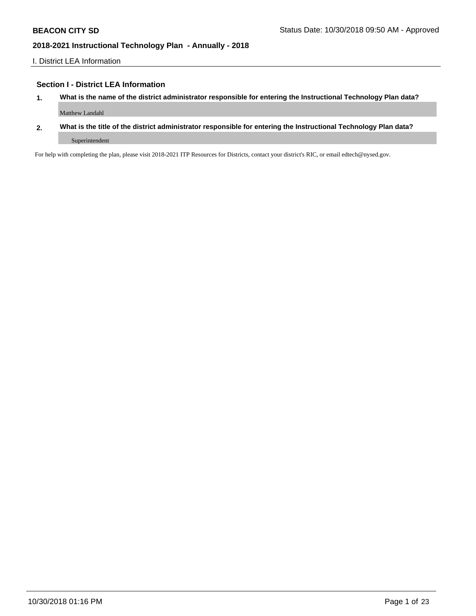I. District LEA Information

### **Section I - District LEA Information**

- **1. What is the name of the district administrator responsible for entering the Instructional Technology Plan data?** Matthew Landahl
- **2. What is the title of the district administrator responsible for entering the Instructional Technology Plan data?** Superintendent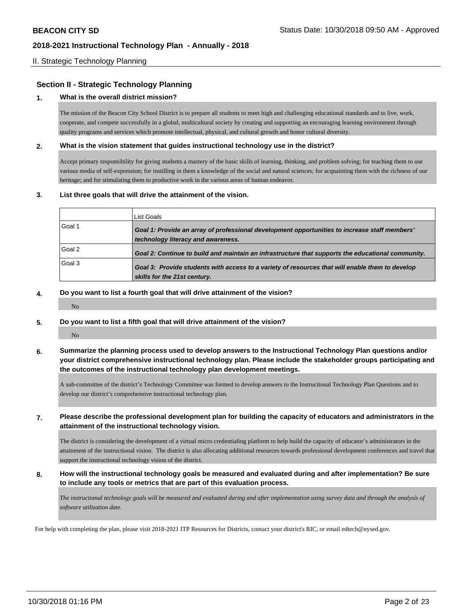### II. Strategic Technology Planning

## **Section II - Strategic Technology Planning**

#### **1. What is the overall district mission?**

The mission of the Beacon City School District is to prepare all students to meet high and challenging educational standards and to live, work, cooperate, and compete successfully in a global, multicultural society by creating and supporting an encouraging learning environment through quality programs and services which promote intellectual, physical, and cultural growth and honor cultural diversity.

#### **2. What is the vision statement that guides instructional technology use in the district?**

Accept primary responsibility for giving students a mastery of the basic skills of learning, thinking, and problem solving; for teaching them to use various media of self-expression; for instilling in them a knowledge of the social and natural sciences; for acquainting them with the richness of our heritage; and for stimulating them to productive work in the various areas of human endeavor.

#### **3. List three goals that will drive the attainment of the vision.**

|        | List Goals                                                                                                                          |
|--------|-------------------------------------------------------------------------------------------------------------------------------------|
| Goal 1 | Goal 1: Provide an array of professional development opportunities to increase staff members'<br>technology literacy and awareness. |
| Goal 2 | Goal 2: Continue to build and maintain an infrastructure that supports the educational community.                                   |
| Goal 3 | Goal 3: Provide students with access to a variety of resources that will enable them to develop<br>skills for the 21st century.     |

#### **4. Do you want to list a fourth goal that will drive attainment of the vision?**

**5. Do you want to list a fifth goal that will drive attainment of the vision?**

No

No

**6. Summarize the planning process used to develop answers to the Instructional Technology Plan questions and/or your district comprehensive instructional technology plan. Please include the stakeholder groups participating and the outcomes of the instructional technology plan development meetings.**

A sub-committee of the district's Technology Committee was formed to develop answers to the Instructional Technology Plan Questions and to develop our district's comprehensive instructional technology plan.

### **7. Please describe the professional development plan for building the capacity of educators and administrators in the attainment of the instructional technology vision.**

The district is considering the development of a virtual micro credentialing platform to help build the capacity of educator's administrators in the attainment of the instructional vision. The district is also allocating additional resources towards professional development conferences and travel that support the instructional technology vision of the district.

**8. How will the instructional technology goals be measured and evaluated during and after implementation? Be sure to include any tools or metrics that are part of this evaluation process.**

*The instructional technology goals will be measured and evaluated during and after implementation using survey data and through the analysis of software utilization date.*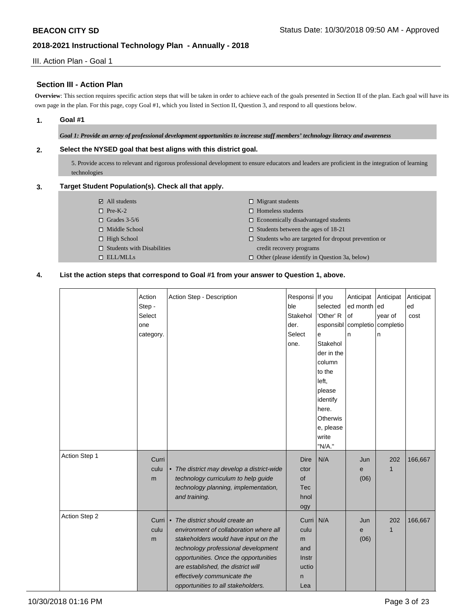## III. Action Plan - Goal 1

## **Section III - Action Plan**

**Overview**: This section requires specific action steps that will be taken in order to achieve each of the goals presented in Section II of the plan. Each goal will have its own page in the plan. For this page, copy Goal #1, which you listed in Section II, Question 3, and respond to all questions below.

### **1. Goal #1**

*Goal 1: Provide an array of professional development opportunities to increase staff members' technology literacy and awareness*

### **2. Select the NYSED goal that best aligns with this district goal.**

5. Provide access to relevant and rigorous professional development to ensure educators and leaders are proficient in the integration of learning technologies

#### **3. Target Student Population(s). Check all that apply.**

| $\boxtimes$ All students          | $\Box$ Migrant students                                    |
|-----------------------------------|------------------------------------------------------------|
| $\Box$ Pre-K-2                    | $\Box$ Homeless students                                   |
| $\Box$ Grades 3-5/6               | $\Box$ Economically disadvantaged students                 |
| $\Box$ Middle School              | $\Box$ Students between the ages of 18-21                  |
| $\Box$ High School                | $\Box$ Students who are targeted for dropout prevention or |
| $\Box$ Students with Disabilities | credit recovery programs                                   |
| $\Box$ ELL/MLLs                   | $\Box$ Other (please identify in Question 3a, below)       |

### **4. List the action steps that correspond to Goal #1 from your answer to Question 1, above.**

|               | Action    | Action Step - Description                  | Responsi   | If you     | Anticipat | Anticipat    | Anticipat |
|---------------|-----------|--------------------------------------------|------------|------------|-----------|--------------|-----------|
|               | Step -    |                                            | ble        | selected   | ed month  | ed           | ed        |
|               | Select    |                                            | Stakehol   | 'Other' R  | l of      | year of      | cost      |
|               | one       |                                            | der.       | esponsibl  | completio | completio    |           |
|               | category. |                                            | Select     | e          | n         | n            |           |
|               |           |                                            | one.       | Stakehol   |           |              |           |
|               |           |                                            |            | der in the |           |              |           |
|               |           |                                            |            | column     |           |              |           |
|               |           |                                            |            | to the     |           |              |           |
|               |           |                                            |            | left.      |           |              |           |
|               |           |                                            |            | please     |           |              |           |
|               |           |                                            |            | identify   |           |              |           |
|               |           |                                            |            | here.      |           |              |           |
|               |           |                                            |            | Otherwis   |           |              |           |
|               |           |                                            |            | e, please  |           |              |           |
|               |           |                                            |            | write      |           |              |           |
|               |           |                                            |            | "N/A."     |           |              |           |
| Action Step 1 | Curri     |                                            | Dire       | N/A        | Jun       | 202          | 166,667   |
|               | culu      | • The district may develop a district-wide | ctor       |            | e         | 1            |           |
|               | m         | technology curriculum to help guide        | of         |            | (06)      |              |           |
|               |           | technology planning, implementation,       | <b>Tec</b> |            |           |              |           |
|               |           | and training.                              | hnol       |            |           |              |           |
|               |           |                                            | ogy        |            |           |              |           |
| Action Step 2 |           |                                            |            |            |           |              |           |
|               | Curri     | • The district should create an            | Curri      | N/A        | Jun       | 202          | 166,667   |
|               | culu      | environment of collaboration where all     | culu       |            | e         | $\mathbf{1}$ |           |
|               | m         | stakeholders would have input on the       | m          |            | (06)      |              |           |
|               |           | technology professional development        | and        |            |           |              |           |
|               |           | opportunities. Once the opportunities      | Instr      |            |           |              |           |
|               |           | are established, the district will         | uctio      |            |           |              |           |
|               |           | effectively communicate the                | n          |            |           |              |           |
|               |           | opportunities to all stakeholders.         | Lea        |            |           |              |           |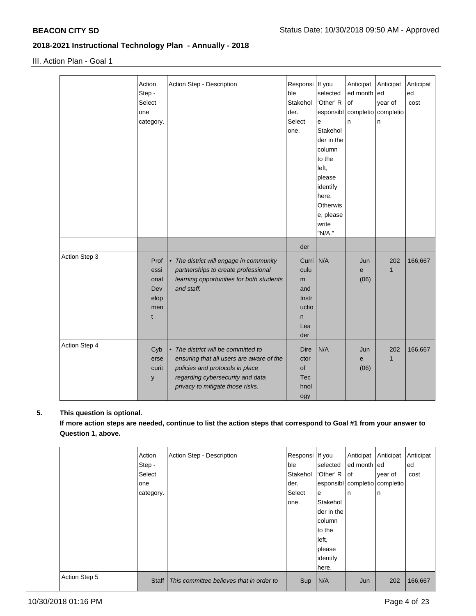III. Action Plan - Goal 1

|               | Action<br>Step -<br>Select<br>one<br>category.  | Action Step - Description                                                                                                                                                                  | Responsi If you<br>ble<br>Stakehol<br>der.<br>Select<br>one.   | selected<br>'Other' R<br>e<br>Stakehol<br>der in the<br>column<br>to the<br>left,<br>please<br>identify<br>here.<br>Otherwis<br>e, please<br>write<br>"N/A." | Anticipat<br>ed month<br>l of<br>esponsibl completio completio<br>n | Anticipat<br>led<br>year of<br>n | Anticipat<br>ed<br>cost |
|---------------|-------------------------------------------------|--------------------------------------------------------------------------------------------------------------------------------------------------------------------------------------------|----------------------------------------------------------------|--------------------------------------------------------------------------------------------------------------------------------------------------------------|---------------------------------------------------------------------|----------------------------------|-------------------------|
|               |                                                 |                                                                                                                                                                                            | der                                                            |                                                                                                                                                              |                                                                     |                                  |                         |
| Action Step 3 | Prof<br>essi<br>onal<br>Dev<br>elop<br>men<br>t | • The district will engage in community<br>partnerships to create professional<br>learning opportunities for both students<br>and staff.                                                   | Curri<br>culu<br>m<br>and<br>Instr<br>uctio<br>n<br>Lea<br>der | N/A                                                                                                                                                          | Jun<br>e<br>(06)                                                    | 202                              | 166,667                 |
| Action Step 4 | Cyb<br>erse<br>curit<br>y                       | • The district will be committed to<br>ensuring that all users are aware of the<br>policies and protocols in place<br>regarding cybersecurity and data<br>privacy to mitigate those risks. | <b>Dire</b><br>ctor<br>of<br><b>Tec</b><br>hnol<br>ogy         | N/A                                                                                                                                                          | Jun<br>e<br>(06)                                                    | 202<br>1                         | 166,667                 |

## **5. This question is optional.**

**If more action steps are needed, continue to list the action steps that correspond to Goal #1 from your answer to Question 1, above.**

|               | Action       | Action Step - Description                | Responsi If you |            | Anticipat                         | Anticipat | Anticipat |
|---------------|--------------|------------------------------------------|-----------------|------------|-----------------------------------|-----------|-----------|
|               | Step -       |                                          | lble.           | selected   | ed month led                      |           | ed        |
|               | Select       |                                          | Stakehol        | 'Other' R  | lof                               | year of   | cost      |
|               | one          |                                          | der.            |            | esponsibl   completio   completio |           |           |
|               | category.    |                                          | Select          | e          | n                                 | In        |           |
|               |              |                                          | one.            | Stakehol   |                                   |           |           |
|               |              |                                          |                 | der in the |                                   |           |           |
|               |              |                                          |                 | column     |                                   |           |           |
|               |              |                                          |                 | to the     |                                   |           |           |
|               |              |                                          |                 | left,      |                                   |           |           |
|               |              |                                          |                 | please     |                                   |           |           |
|               |              |                                          |                 | identify   |                                   |           |           |
|               |              |                                          |                 | here.      |                                   |           |           |
| Action Step 5 | <b>Staff</b> | This committee believes that in order to | Sup             | N/A        | Jun                               | 202       | 166,667   |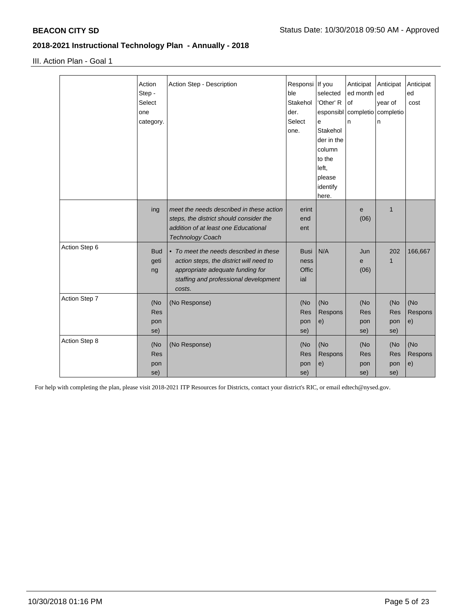III. Action Plan - Goal 1

|               | Action<br>Step -<br>Select | Action Step - Description                | Responsi If you<br>ble<br>Stakehol | selected<br>'Other' R | Anticipat<br>ed month<br>of | Anticipat<br>led | Anticipat<br>ed<br>cost |
|---------------|----------------------------|------------------------------------------|------------------------------------|-----------------------|-----------------------------|------------------|-------------------------|
|               | one                        |                                          | der.                               | esponsibl             | completio completio         | year of          |                         |
|               | category.                  |                                          | Select                             | e                     | n                           | n                |                         |
|               |                            |                                          | one.                               | Stakehol              |                             |                  |                         |
|               |                            |                                          |                                    | der in the            |                             |                  |                         |
|               |                            |                                          |                                    | column                |                             |                  |                         |
|               |                            |                                          |                                    | to the                |                             |                  |                         |
|               |                            |                                          |                                    | left,                 |                             |                  |                         |
|               |                            |                                          |                                    | please                |                             |                  |                         |
|               |                            |                                          |                                    | identify              |                             |                  |                         |
|               |                            |                                          |                                    | here.                 |                             |                  |                         |
|               | ing                        | meet the needs described in these action | erint                              |                       | e                           | $\mathbf{1}$     |                         |
|               |                            | steps, the district should consider the  | end                                |                       | (06)                        |                  |                         |
|               |                            | addition of at least one Educational     | ent                                |                       |                             |                  |                         |
|               |                            | <b>Technology Coach</b>                  |                                    |                       |                             |                  |                         |
| Action Step 6 | <b>Bud</b>                 | • To meet the needs described in these   | <b>Busi</b>                        | N/A                   | Jun                         | 202              | 166,667                 |
|               | geti                       | action steps, the district will need to  | ness                               |                       | e                           | 1                |                         |
|               | ng                         | appropriate adequate funding for         | Offic                              |                       | (06)                        |                  |                         |
|               |                            | staffing and professional development    | ial                                |                       |                             |                  |                         |
|               |                            | costs.                                   |                                    |                       |                             |                  |                         |
| Action Step 7 | (No                        | (No Response)                            | (No                                | (No                   | (No                         | (No              | (No                     |
|               | <b>Res</b>                 |                                          | <b>Res</b>                         | Respons               | <b>Res</b>                  | Res              | Respons                 |
|               | pon                        |                                          | pon                                | e)                    | pon                         | pon              | e)                      |
|               | se)                        |                                          | se)                                |                       | se)                         | se)              |                         |
| Action Step 8 |                            |                                          |                                    |                       |                             |                  |                         |
|               | (No                        | (No Response)                            | (No                                | (No                   | (No                         | (No              | (No                     |
|               | Res                        |                                          | Res                                | Respons               | Res                         | <b>Res</b>       | Respons                 |
|               | pon                        |                                          | pon                                | e)                    | pon                         | pon              | e)                      |
|               | se)                        |                                          | se)                                |                       | se)                         | se)              |                         |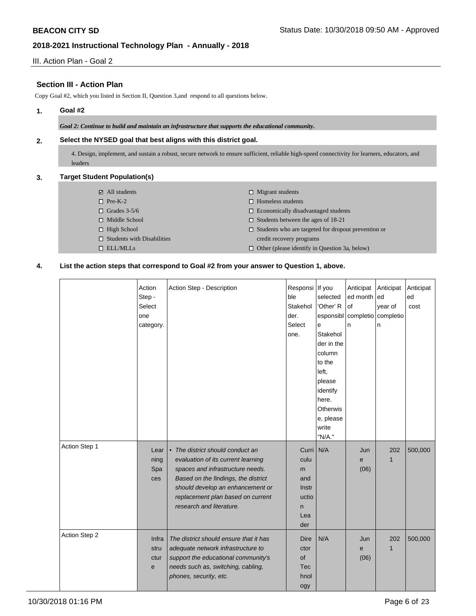III. Action Plan - Goal 2

## **Section III - Action Plan**

Copy Goal #2, which you listed in Section II, Question 3,and respond to all questions below.

### **1. Goal #2**

*Goal 2: Continue to build and maintain an infrastructure that supports the educational community.*

### **2. Select the NYSED goal that best aligns with this district goal.**

4. Design, implement, and sustain a robust, secure network to ensure sufficient, reliable high-speed connectivity for learners, educators, and leaders

### **3. Target Student Population(s)**

| $\boxtimes$ All students          | $\Box$ Migrant students                                    |
|-----------------------------------|------------------------------------------------------------|
| $\Box$ Pre-K-2                    | $\Box$ Homeless students                                   |
| $\Box$ Grades 3-5/6               | $\Box$ Economically disadvantaged students                 |
| $\Box$ Middle School              | $\Box$ Students between the ages of 18-21                  |
| $\Box$ High School                | $\Box$ Students who are targeted for dropout prevention or |
| $\Box$ Students with Disabilities | credit recovery programs                                   |
| $\Box$ ELL/MLLs                   | $\Box$ Other (please identify in Question 3a, below)       |

### **4. List the action steps that correspond to Goal #2 from your answer to Question 1, above.**

|               | Action<br>Step -<br>Select<br>one<br>category. | Action Step - Description                                                                                                                                                                                                                              | Responsi If you<br>ble<br>Stakehol<br>der.<br>Select<br>one.   | selected<br>'Other' R<br>esponsibl<br>e<br>Stakehol<br>der in the<br>column<br>to the<br>left.<br>please<br>identify | Anticipat<br>ed month ed<br>of<br>n. | Anticipat<br>year of<br>completio completio<br>n | Anticipat<br>ed<br>cost |
|---------------|------------------------------------------------|--------------------------------------------------------------------------------------------------------------------------------------------------------------------------------------------------------------------------------------------------------|----------------------------------------------------------------|----------------------------------------------------------------------------------------------------------------------|--------------------------------------|--------------------------------------------------|-------------------------|
|               |                                                |                                                                                                                                                                                                                                                        |                                                                | here.<br>Otherwis<br>e, please<br>write<br>"N/A."                                                                    |                                      |                                                  |                         |
| Action Step 1 | Lear<br>ning<br>Spa<br>ces                     | • The district should conduct an<br>evaluation of its current learning<br>spaces and infrastructure needs.<br>Based on the findings, the district<br>should develop an enhancement or<br>replacement plan based on current<br>research and literature. | Curri<br>culu<br>m<br>and<br>Instr<br>uctio<br>n<br>Lea<br>der | N/A                                                                                                                  | Jun<br>e<br>(06)                     | 202<br>1                                         | 500,000                 |
| Action Step 2 | Infra<br>stru<br>ctur<br>$\mathbf{e}$          | The district should ensure that it has<br>adequate network infrastructure to<br>support the educational community's<br>needs such as, switching, cabling,<br>phones, security, etc.                                                                    | <b>Dire</b><br>ctor<br>of<br><b>Tec</b><br>hnol<br>ogy         | N/A                                                                                                                  | Jun<br>$\mathbf e$<br>(06)           | 202<br>$\mathbf{1}$                              | 500,000                 |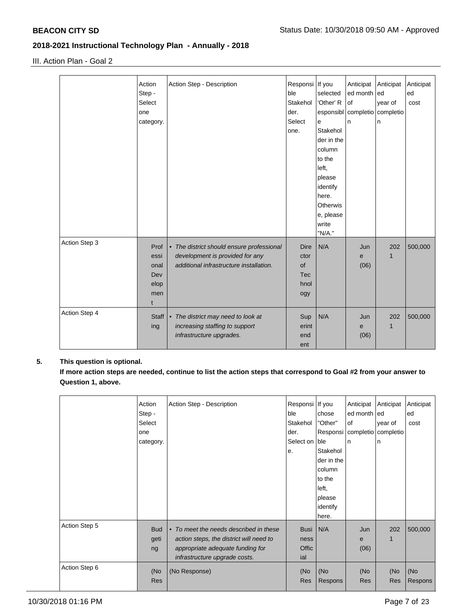III. Action Plan - Goal 2

|               | Action       | Action Step - Description                 | Responsi   If you |            | Anticipat           | Anticipat | Anticipat |
|---------------|--------------|-------------------------------------------|-------------------|------------|---------------------|-----------|-----------|
|               | Step -       |                                           | ble               | selected   | ed month ed         |           | ed        |
|               | Select       |                                           | Stakehol          | 'Other' R  | of                  | year of   | cost      |
|               | one          |                                           | der.              | esponsibl  | completio completio |           |           |
|               | category.    |                                           | Select            | e          | n                   | n         |           |
|               |              |                                           | one.              | Stakehol   |                     |           |           |
|               |              |                                           |                   | der in the |                     |           |           |
|               |              |                                           |                   | column     |                     |           |           |
|               |              |                                           |                   | to the     |                     |           |           |
|               |              |                                           |                   | left,      |                     |           |           |
|               |              |                                           |                   | please     |                     |           |           |
|               |              |                                           |                   | identify   |                     |           |           |
|               |              |                                           |                   | here.      |                     |           |           |
|               |              |                                           |                   | Otherwis   |                     |           |           |
|               |              |                                           |                   | e, please  |                     |           |           |
|               |              |                                           |                   | write      |                     |           |           |
|               |              |                                           |                   | "N/A."     |                     |           |           |
| Action Step 3 | Prof         | • The district should ensure professional | <b>Dire</b>       | N/A        | Jun                 | 202       | 500,000   |
|               | essi         | development is provided for any           | ctor              |            | e                   | 1         |           |
|               | onal         | additional infrastructure installation.   | of                |            | (06)                |           |           |
|               | Dev          |                                           | <b>Tec</b>        |            |                     |           |           |
|               | elop         |                                           | hnol              |            |                     |           |           |
|               | men          |                                           | ogy               |            |                     |           |           |
|               | $\mathsf{t}$ |                                           |                   |            |                     |           |           |
| Action Step 4 |              |                                           |                   |            |                     |           |           |
|               | Staff        | • The district may need to look at        | Sup               | N/A        | Jun                 | 202       | 500,000   |
|               | ing          | increasing staffing to support            | erint             |            | e                   | 1         |           |
|               |              | infrastructure upgrades.                  | end               |            | (06)                |           |           |
|               |              |                                           | ent               |            |                     |           |           |

## **5. This question is optional.**

**If more action steps are needed, continue to list the action steps that correspond to Goal #2 from your answer to Question 1, above.**

|               | Action<br>Step -<br>Select<br>one<br>category. | Action Step - Description                                                                                                                              | Responsi   If you<br>ble<br>Stakehol<br>der.<br>Select on Ible<br>е. | chose<br>"Other"<br>Stakehol<br>der in the<br>column<br>to the<br>left,<br>please | Anticipat<br>ed month ed<br>of<br>ln. | Anticipat<br>year of<br>Responsi   completio   completio  <br>In | Anticipat<br>ed<br>cost |
|---------------|------------------------------------------------|--------------------------------------------------------------------------------------------------------------------------------------------------------|----------------------------------------------------------------------|-----------------------------------------------------------------------------------|---------------------------------------|------------------------------------------------------------------|-------------------------|
|               |                                                |                                                                                                                                                        |                                                                      | identify<br>here.                                                                 |                                       |                                                                  |                         |
| Action Step 5 | <b>Bud</b><br>geti<br>ng                       | • To meet the needs described in these<br>action steps, the district will need to<br>appropriate adequate funding for<br>infrastructure upgrade costs. | Busi<br>ness<br>Offic<br>ial                                         | N/A                                                                               | Jun<br>e<br>(06)                      | 202                                                              | 500,000                 |
| Action Step 6 | (No<br><b>Res</b>                              | (No Response)                                                                                                                                          | (No<br><b>Res</b>                                                    | (No<br>Respons                                                                    | (No<br><b>Res</b>                     | (No<br>Res                                                       | (No<br>Respons          |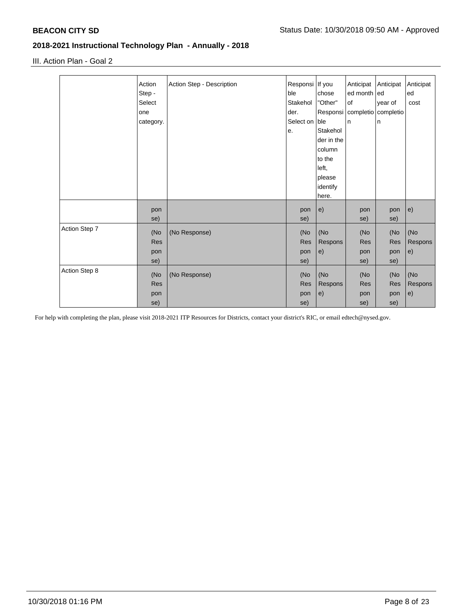III. Action Plan - Goal 2

|               | Action     | Action Step - Description | Responsi   If you |            | Anticipat   | Anticipat                        | Anticipat |
|---------------|------------|---------------------------|-------------------|------------|-------------|----------------------------------|-----------|
|               | Step -     |                           | ble               | chose      | ed month ed |                                  | ed        |
|               | Select     |                           | Stakehol          | "Other"    | of          | year of                          | cost      |
|               | one        |                           | der.              |            |             | Responsi   completio   completio |           |
|               | category.  |                           | Select on ble     |            | n           | ln.                              |           |
|               |            |                           | е.                | Stakehol   |             |                                  |           |
|               |            |                           |                   | der in the |             |                                  |           |
|               |            |                           |                   | column     |             |                                  |           |
|               |            |                           |                   | to the     |             |                                  |           |
|               |            |                           |                   | left,      |             |                                  |           |
|               |            |                           |                   | please     |             |                                  |           |
|               |            |                           |                   | identify   |             |                                  |           |
|               |            |                           |                   | here.      |             |                                  |           |
|               | pon        |                           | pon               | e)         | pon         | pon                              | e)        |
|               | se)        |                           | se)               |            | se)         | se)                              |           |
| Action Step 7 |            |                           |                   |            |             |                                  |           |
|               | (No        | (No Response)             | (No               | (No        | (No         | (No                              | (No       |
|               | <b>Res</b> |                           | Res               | Respons    | <b>Res</b>  | <b>Res</b>                       | Respons   |
|               | pon        |                           | pon               | e)         | pon         | pon                              | e)        |
|               | se)        |                           | se)               |            | se)         | se)                              |           |
| Action Step 8 | (No        | (No Response)             | (No               | (No        | (No         | (No                              | (No       |
|               | <b>Res</b> |                           | <b>Res</b>        | Respons    | <b>Res</b>  | <b>Res</b>                       | Respons   |
|               | pon        |                           | pon               | e)         | pon         | pon                              | e)        |
|               | se)        |                           | se)               |            | se)         | se)                              |           |
|               |            |                           |                   |            |             |                                  |           |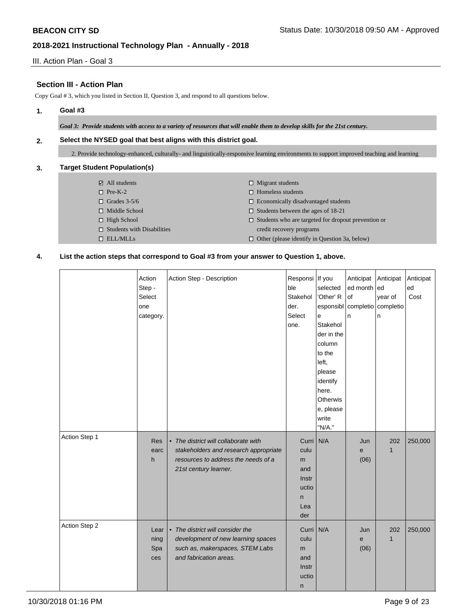III. Action Plan - Goal 3

## **Section III - Action Plan**

Copy Goal # 3, which you listed in Section II, Question 3, and respond to all questions below.

## **1. Goal #3**

*Goal 3: Provide students with access to a variety of resources that will enable them to develop skills for the 21st century.*

### **2. Select the NYSED goal that best aligns with this district goal.**

2. Provide technology-enhanced, culturally- and linguistically-responsive learning environments to support improved teaching and learning

### **3. Target Student Population(s)**

- All students
- $\Box$  Pre-K-2
- $\Box$  Grades 3-5/6
- □ Middle School
- $\Box$  High School
- $\square$  Students with Disabilities ELL/MLLs
- $\square$  Migrant students
- $\hfill \square$  Homeless students
- $\Box$  Economically disadvantaged students
- $\square$  Students between the ages of 18-21
- $\square$  Students who are targeted for dropout prevention or credit recovery programs
- $\Box$  Other (please identify in Question 3a, below)

#### **4. List the action steps that correspond to Goal #3 from your answer to Question 1, above.**

|               | Action<br>Step -<br>Select<br>one<br>category. | Action Step - Description                                                                                                                     | Responsi   If you<br>ble<br>Stakehol<br>der.<br>Select<br>one. | selected<br>'Other' R<br>esponsibl<br>e<br>Stakehol<br>der in the<br>column<br>to the<br>left,<br>please<br>identify<br>here.<br>Otherwis<br>e, please<br>write<br>"N/A." | Anticipat Anticipat<br>ed month ed<br>of<br>completio<br>n | year of<br>completio<br>n | Anticipat<br>ed<br>Cost |
|---------------|------------------------------------------------|-----------------------------------------------------------------------------------------------------------------------------------------------|----------------------------------------------------------------|---------------------------------------------------------------------------------------------------------------------------------------------------------------------------|------------------------------------------------------------|---------------------------|-------------------------|
| Action Step 1 | <b>Res</b><br>earc<br>h                        | • The district will collaborate with<br>stakeholders and research appropriate<br>resources to address the needs of a<br>21st century learner. | Curri<br>culu<br>m<br>and<br>Instr<br>uctio<br>n<br>Lea<br>der | N/A                                                                                                                                                                       | Jun<br>e<br>(06)                                           | 202<br>$\mathbf{1}$       | 250,000                 |
| Action Step 2 | Lear<br>ning<br>Spa<br>ces                     | • The district will consider the<br>development of new learning spaces<br>such as, makerspaces, STEM Labs<br>and fabrication areas.           | Curri  <br>culu<br>m<br>and<br>Instr<br>uctio<br>$\mathsf{n}$  | N/A                                                                                                                                                                       | Jun<br>e<br>(06)                                           | 202<br>$\mathbf{1}$       | 250,000                 |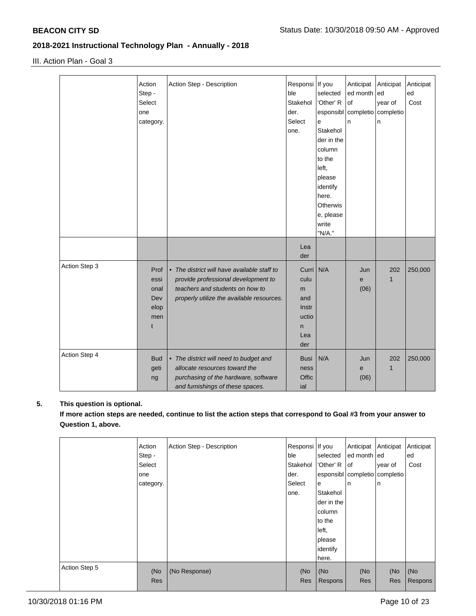III. Action Plan - Goal 3

|               | Action     | Action Step - Description                   | Responsi    | If you          | Anticipat                         | Anticipat | Anticipat |
|---------------|------------|---------------------------------------------|-------------|-----------------|-----------------------------------|-----------|-----------|
|               | Step -     |                                             | ble         | selected        | ed month ed                       |           | ed        |
|               | Select     |                                             | Stakehol    | 'Other' R       | of                                | year of   | Cost      |
|               | one        |                                             | der.        |                 | esponsibl   completio   completio |           |           |
|               | category.  |                                             | Select      | e               | n                                 | n         |           |
|               |            |                                             | one.        | Stakehol        |                                   |           |           |
|               |            |                                             |             | der in the      |                                   |           |           |
|               |            |                                             |             | column          |                                   |           |           |
|               |            |                                             |             |                 |                                   |           |           |
|               |            |                                             |             | to the          |                                   |           |           |
|               |            |                                             |             | left.           |                                   |           |           |
|               |            |                                             |             | please          |                                   |           |           |
|               |            |                                             |             | identify        |                                   |           |           |
|               |            |                                             |             | here.           |                                   |           |           |
|               |            |                                             |             | <b>Otherwis</b> |                                   |           |           |
|               |            |                                             |             | e, please       |                                   |           |           |
|               |            |                                             |             | write           |                                   |           |           |
|               |            |                                             |             | "N/A."          |                                   |           |           |
|               |            |                                             | Lea         |                 |                                   |           |           |
|               |            |                                             |             |                 |                                   |           |           |
|               |            |                                             | der         |                 |                                   |           |           |
| Action Step 3 | Prof       | • The district will have available staff to | Curri N/A   |                 | Jun                               | 202       | 250,000   |
|               | essi       | provide professional development to         | culu        |                 | e                                 | 1         |           |
|               | onal       | teachers and students on how to             | m           |                 | (06)                              |           |           |
|               | Dev        | properly utilize the available resources.   | and         |                 |                                   |           |           |
|               | elop       |                                             | Instr       |                 |                                   |           |           |
|               | men        |                                             | uctio       |                 |                                   |           |           |
|               | t          |                                             | n           |                 |                                   |           |           |
|               |            |                                             | Lea         |                 |                                   |           |           |
|               |            |                                             | der         |                 |                                   |           |           |
| Action Step 4 |            |                                             |             |                 |                                   |           |           |
|               | <b>Bud</b> | • The district will need to budget and      | <b>Busi</b> | N/A             | Jun                               | 202       | 250,000   |
|               | geti       | allocate resources toward the               | ness        |                 | e                                 | 1         |           |
|               | ng         | purchasing of the hardware, software        | Offic       |                 | (06)                              |           |           |
|               |            | and furnishings of these spaces.            | ial         |                 |                                   |           |           |

## **5. This question is optional.**

**If more action steps are needed, continue to list the action steps that correspond to Goal #3 from your answer to Question 1, above.**

|               | Action     | Action Step - Description | Responsi If you |            | Anticipat                     | Anticipat  | Anticipat |
|---------------|------------|---------------------------|-----------------|------------|-------------------------------|------------|-----------|
|               | Step -     |                           | ble             | selected   | ed month ed                   |            | ed        |
|               | Select     |                           | Stakehol        | 'Other' R  | lof                           | year of    | Cost      |
|               | one        |                           | der.            |            | esponsibl completio completio |            |           |
|               | category.  |                           | Select          | e          | n                             | In         |           |
|               |            |                           | one.            | Stakehol   |                               |            |           |
|               |            |                           |                 | der in the |                               |            |           |
|               |            |                           |                 | column     |                               |            |           |
|               |            |                           |                 | to the     |                               |            |           |
|               |            |                           |                 | left,      |                               |            |           |
|               |            |                           |                 | please     |                               |            |           |
|               |            |                           |                 | identify   |                               |            |           |
|               |            |                           |                 | here.      |                               |            |           |
| Action Step 5 | (No        | (No Response)             | (No             | (No        | (No                           | (No        | (No       |
|               | <b>Res</b> |                           | <b>Res</b>      | Respons    | <b>Res</b>                    | <b>Res</b> | Respons   |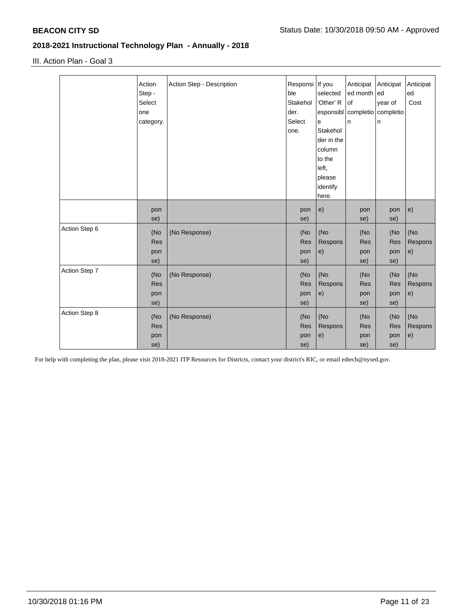III. Action Plan - Goal 3

|               | Action<br>Step -<br>Select<br>one<br>category. | Action Step - Description | Responsi   If you<br>ble<br>Stakehol<br>der.<br>Select<br>one. | selected<br>'Other' R<br>esponsibl<br>$\mathbf e$<br>Stakehol<br>der in the<br>column<br>to the<br>left,<br>please<br>identify<br>here. | Anticipat<br>ed month<br>of<br>completio<br>n | Anticipat<br>led<br>year of<br>completio<br>n | Anticipat<br>ed<br>Cost |
|---------------|------------------------------------------------|---------------------------|----------------------------------------------------------------|-----------------------------------------------------------------------------------------------------------------------------------------|-----------------------------------------------|-----------------------------------------------|-------------------------|
|               | pon<br>se)                                     |                           | pon<br>se)                                                     | e)                                                                                                                                      | pon<br>se)                                    | pon<br>se)                                    | e)                      |
| Action Step 6 | (No<br><b>Res</b><br>pon<br>se)                | (No Response)             | (No<br><b>Res</b><br>pon<br>se)                                | (No<br>Respons<br>e)                                                                                                                    | (No<br>Res<br>pon<br>se)                      | (No<br>Res<br>pon<br>se)                      | (No<br>Respons<br>e)    |
| Action Step 7 | (No<br><b>Res</b><br>pon<br>se)                | (No Response)             | (No<br><b>Res</b><br>pon<br>se)                                | (No<br>Respons<br>e)                                                                                                                    | (No<br>Res<br>pon<br>se)                      | (No<br><b>Res</b><br>pon<br>se)               | (No<br>Respons<br>e)    |
| Action Step 8 | (No<br><b>Res</b><br>pon<br>se)                | (No Response)             | (No<br><b>Res</b><br>pon<br>se)                                | (No<br>Respons<br>e)                                                                                                                    | (No<br>Res<br>pon<br>se)                      | (No<br>Res<br>pon<br>se)                      | (No<br>Respons<br>e)    |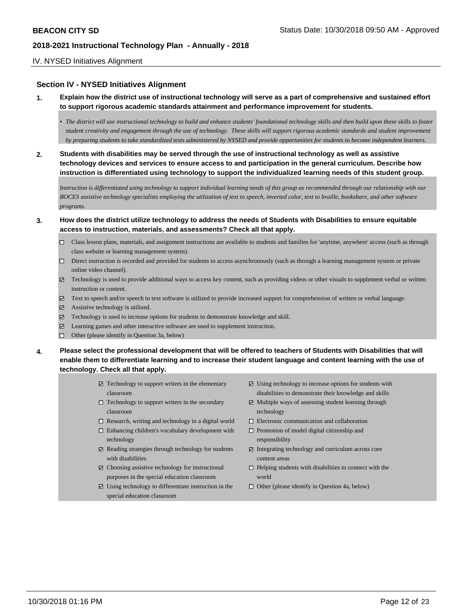### IV. NYSED Initiatives Alignment

### **Section IV - NYSED Initiatives Alignment**

- **1. Explain how the district use of instructional technology will serve as a part of comprehensive and sustained effort to support rigorous academic standards attainment and performance improvement for students.**
	- *• The district will use instructional technology to build and enhance students' foundational technology skills and then build upon these skills to foster student creativity and engagement through the use of technology. These skills will support rigorous academic standards and student improvement by preparing students to take standardized tests administered by NYSED and provide opportunities for students to become independent learners.*
- **2. Students with disabilities may be served through the use of instructional technology as well as assistive technology devices and services to ensure access to and participation in the general curriculum. Describe how instruction is differentiated using technology to support the individualized learning needs of this student group.**

*Instruction is differentiated using technology to support individual learning needs of this group as recommended through our relationship with our BOCES assistive technology specialists employing the utilization of text to speech, inverted color, text to braille, bookshare, and other software programs.* 

- **3. How does the district utilize technology to address the needs of Students with Disabilities to ensure equitable access to instruction, materials, and assessments? Check all that apply.**
	- Class lesson plans, materials, and assignment instructions are available to students and families for 'anytime, anywhere' access (such as through class website or learning management system).
	- Direct instruction is recorded and provided for students to access asynchronously (such as through a learning management system or private online video channel).
	- $\boxtimes$  Technology is used to provide additional ways to access key content, such as providing videos or other visuals to supplement verbal or written instruction or content.
	- Text to speech and/or speech to text software is utilized to provide increased support for comprehension of written or verbal language.
	- $\boxtimes$  Assistive technology is utilized.
	- Technology is used to increase options for students to demonstrate knowledge and skill.
	- Learning games and other interactive software are used to supplement instruction.
	- Other (please identify in Question 3a, below)
- **4. Please select the professional development that will be offered to teachers of Students with Disabilities that will enable them to differentiate learning and to increase their student language and content learning with the use of technology. Check all that apply.**
	- $\boxtimes$  Technology to support writers in the elementary classroom
	- $\Box$  Technology to support writers in the secondary classroom
	- $\Box$  Research, writing and technology in a digital world
	- $\square$  Enhancing children's vocabulary development with technology
	- $\boxtimes$  Reading strategies through technology for students with disabilities
	- $\boxtimes$  Choosing assistive technology for instructional purposes in the special education classroom
	- $\boxtimes$  Using technology to differentiate instruction in the special education classroom
- $\Xi$  Using technology to increase options for students with disabilities to demonstrate their knowledge and skills
- $\boxtimes$  Multiple ways of assessing student learning through technology
- Electronic communication and collaboration
- $\square$  Promotion of model digital citizenship and responsibility
- $\Xi$  Integrating technology and curriculum across core content areas
- $\Box$  Helping students with disabilities to connect with the world
- $\Box$  Other (please identify in Question 4a, below)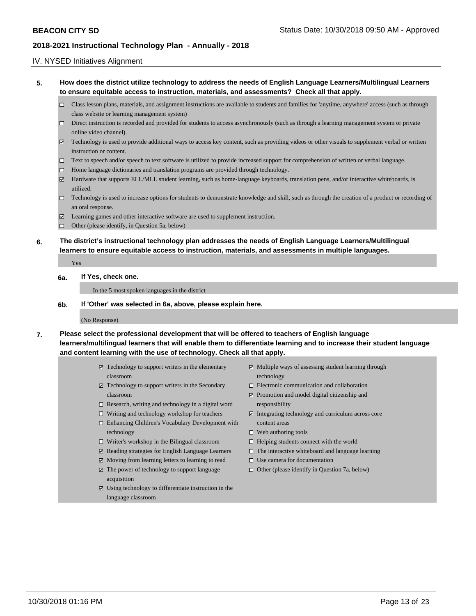### IV. NYSED Initiatives Alignment

**5. How does the district utilize technology to address the needs of English Language Learners/Multilingual Learners to ensure equitable access to instruction, materials, and assessments? Check all that apply.** 

- Class lesson plans, materials, and assignment instructions are available to students and families for 'anytime, anywhere' access (such as through class website or learning management system)
- $\square$  Direct instruction is recorded and provided for students to access asynchronously (such as through a learning management system or private online video channel).
- Technology is used to provide additional ways to access key content, such as providing videos or other visuals to supplement verbal or written instruction or content.
- Text to speech and/or speech to text software is utilized to provide increased support for comprehension of written or verbal language.
- Home language dictionaries and translation programs are provided through technology.
- Hardware that supports ELL/MLL student learning, such as home-language keyboards, translation pens, and/or interactive whiteboards, is utilized.
- Technology is used to increase options for students to demonstrate knowledge and skill, such as through the creation of a product or recording of an oral response.
- Learning games and other interactive software are used to supplement instruction.
- □ Other (please identify, in Question 5a, below)
- **6. The district's instructional technology plan addresses the needs of English Language Learners/Multilingual learners to ensure equitable access to instruction, materials, and assessments in multiple languages.**

Yes

#### **6a. If Yes, check one.**

In the 5 most spoken languages in the district

**6b. If 'Other' was selected in 6a, above, please explain here.**

#### (No Response)

- **7. Please select the professional development that will be offered to teachers of English language learners/multilingual learners that will enable them to differentiate learning and to increase their student language and content learning with the use of technology. Check all that apply.**
	- Technology to support writers in the elementary classroom
	- Technology to support writers in the Secondary classroom
	- $\Box$  Research, writing and technology in a digital word
	- Writing and technology workshop for teachers
	- □ Enhancing Children's Vocabulary Development with technology
	- □ Writer's workshop in the Bilingual classroom
	- $□$  Reading strategies for English Language Learners
	- Moving from learning letters to learning to read
	- The power of technology to support language acquisition
	- Using technology to differentiate instruction in the language classroom
- Multiple ways of assessing student learning through technology
- Electronic communication and collaboration
- $\blacktriangleright$  Promotion and model digital citizenship and responsibility
- $\blacktriangleright$  Integrating technology and curriculum across core content areas
- $\Box$  Web authoring tools
- $\Box$  Helping students connect with the world
- $\Box$  The interactive whiteboard and language learning
- $\square$  Use camera for documentation
- $\Box$  Other (please identify in Question 7a, below)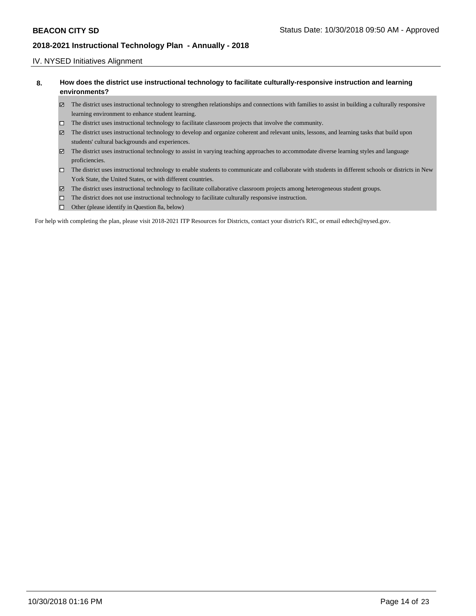### IV. NYSED Initiatives Alignment

| How does the district use instructional technology to facilitate culturally-responsive instruction and learning |
|-----------------------------------------------------------------------------------------------------------------|
| environments?                                                                                                   |

- The district uses instructional technology to strengthen relationships and connections with families to assist in building a culturally responsive learning environment to enhance student learning.
- The district uses instructional technology to facilitate classroom projects that involve the community.
- The district uses instructional technology to develop and organize coherent and relevant units, lessons, and learning tasks that build upon students' cultural backgrounds and experiences.
- The district uses instructional technology to assist in varying teaching approaches to accommodate diverse learning styles and language proficiencies.
- The district uses instructional technology to enable students to communicate and collaborate with students in different schools or districts in New York State, the United States, or with different countries.
- The district uses instructional technology to facilitate collaborative classroom projects among heterogeneous student groups.
- The district does not use instructional technology to facilitate culturally responsive instruction.
- $\Box$  Other (please identify in Question 8a, below)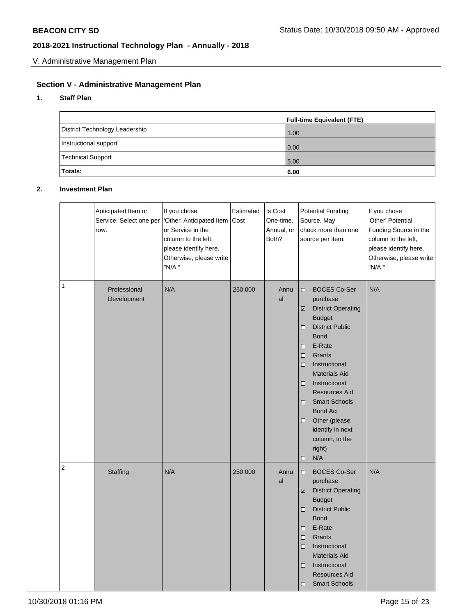V. Administrative Management Plan

# **Section V - Administrative Management Plan**

### **1. Staff Plan**

|                                | <b>Full-time Equivalent (FTE)</b> |
|--------------------------------|-----------------------------------|
| District Technology Leadership | 1.00                              |
| Instructional support          | 0.00                              |
| <b>Technical Support</b>       | 5.00                              |
| Totals:                        | 6.00                              |

## **2. Investment Plan**

|   | Anticipated Item or<br>Service. Select one per<br>row. | If you chose<br>'Other' Anticipated Item<br>or Service in the<br>column to the left,<br>please identify here.<br>Otherwise, please write<br>"N/A." | Estimated<br>Cost | Is Cost<br>One-time,<br>Annual, or<br>Both? | <b>Potential Funding</b><br>Source. May<br>check more than one<br>source per item.                                                                                                                                                                                                                                                                                                                | If you chose<br>'Other' Potential<br>Funding Source in the<br>column to the left,<br>please identify here.<br>Otherwise, please write<br>"N/A." |
|---|--------------------------------------------------------|----------------------------------------------------------------------------------------------------------------------------------------------------|-------------------|---------------------------------------------|---------------------------------------------------------------------------------------------------------------------------------------------------------------------------------------------------------------------------------------------------------------------------------------------------------------------------------------------------------------------------------------------------|-------------------------------------------------------------------------------------------------------------------------------------------------|
| 1 | Professional<br>Development                            | N/A                                                                                                                                                | 250,000           | Annu<br>al                                  | <b>BOCES Co-Ser</b><br>◻<br>purchase<br><b>District Operating</b><br>☑<br><b>Budget</b><br><b>District Public</b><br>◻<br><b>Bond</b><br>E-Rate<br>□<br>Grants<br>□<br>Instructional<br>□<br><b>Materials Aid</b><br>Instructional<br>◻<br><b>Resources Aid</b><br><b>Smart Schools</b><br>◻<br><b>Bond Act</b><br>Other (please<br>□<br>identify in next<br>column, to the<br>right)<br>N/A<br>◻ | N/A                                                                                                                                             |
| 2 | Staffing                                               | N/A                                                                                                                                                | 250,000           | Annu<br>al                                  | <b>BOCES Co-Ser</b><br>◻<br>purchase<br><b>District Operating</b><br>☑<br><b>Budget</b><br><b>District Public</b><br>◻<br><b>Bond</b><br>E-Rate<br>◻<br>Grants<br>◻<br>Instructional<br>◻<br><b>Materials Aid</b><br>Instructional<br>◻<br>Resources Aid<br><b>Smart Schools</b><br>□                                                                                                             | N/A                                                                                                                                             |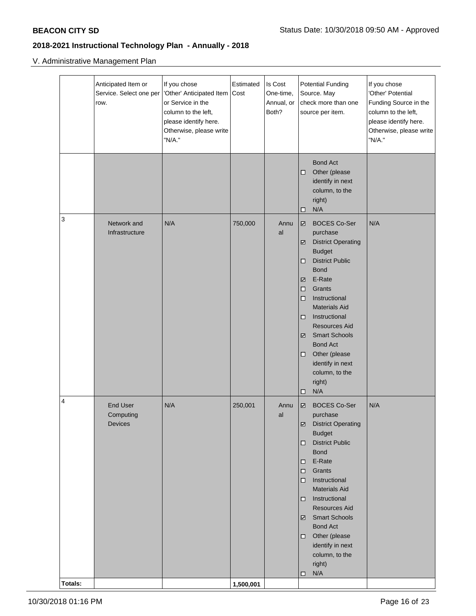# V. Administrative Management Plan

| <b>Bond Act</b><br>Other (please<br>◻<br>identify in next<br>column, to the<br>right)<br>N/A<br>◻<br>3<br>N/A<br>Network and<br>750,000<br><b>BOCES Co-Ser</b><br>N/A<br>Annu<br>☑<br>Infrastructure<br>al<br>purchase<br><b>District Operating</b><br>☑<br><b>Budget</b><br><b>District Public</b><br>◻<br><b>Bond</b><br>E-Rate<br>☑<br>$\Box$<br>Grants<br>Instructional<br>◻<br><b>Materials Aid</b><br>Instructional<br>□<br><b>Resources Aid</b><br><b>Smart Schools</b><br>☑<br><b>Bond Act</b><br>Other (please<br>◻<br>identify in next<br>column, to the<br>right)<br>N/A<br>◻<br>4<br><b>End User</b><br>N/A<br>250,001<br><b>BOCES Co-Ser</b><br>N/A<br>Annu<br>☑<br>al<br>purchase<br>Computing<br>District Operating<br>Devices<br><b>Budget</b><br><b>District Public</b><br>□<br><b>Bond</b><br>E-Rate<br>□<br>Grants<br>$\Box$<br>Instructional<br>$\Box$<br><b>Materials Aid</b><br>Instructional<br>□<br>Resources Aid<br>☑ Smart Schools<br><b>Bond Act</b><br>Other (please<br>□<br>identify in next<br>column, to the<br>right)<br>N/A<br>□ | Anticipated Item or<br>Service. Select one per<br>row. | If you chose<br>'Other' Anticipated Item<br>or Service in the<br>column to the left,<br>please identify here.<br>Otherwise, please write<br>"N/A." | Estimated<br>Cost | Is Cost<br>One-time,<br>Annual, or<br>Both? | <b>Potential Funding</b><br>Source. May<br>check more than one<br>source per item. | If you chose<br>'Other' Potential<br>Funding Source in the<br>column to the left,<br>please identify here.<br>Otherwise, please write<br>"N/A." |
|-------------------------------------------------------------------------------------------------------------------------------------------------------------------------------------------------------------------------------------------------------------------------------------------------------------------------------------------------------------------------------------------------------------------------------------------------------------------------------------------------------------------------------------------------------------------------------------------------------------------------------------------------------------------------------------------------------------------------------------------------------------------------------------------------------------------------------------------------------------------------------------------------------------------------------------------------------------------------------------------------------------------------------------------------------------------|--------------------------------------------------------|----------------------------------------------------------------------------------------------------------------------------------------------------|-------------------|---------------------------------------------|------------------------------------------------------------------------------------|-------------------------------------------------------------------------------------------------------------------------------------------------|
|                                                                                                                                                                                                                                                                                                                                                                                                                                                                                                                                                                                                                                                                                                                                                                                                                                                                                                                                                                                                                                                                   |                                                        |                                                                                                                                                    |                   |                                             |                                                                                    |                                                                                                                                                 |
|                                                                                                                                                                                                                                                                                                                                                                                                                                                                                                                                                                                                                                                                                                                                                                                                                                                                                                                                                                                                                                                                   |                                                        |                                                                                                                                                    |                   |                                             |                                                                                    |                                                                                                                                                 |
| Totals:<br>1,500,001                                                                                                                                                                                                                                                                                                                                                                                                                                                                                                                                                                                                                                                                                                                                                                                                                                                                                                                                                                                                                                              |                                                        |                                                                                                                                                    |                   |                                             |                                                                                    |                                                                                                                                                 |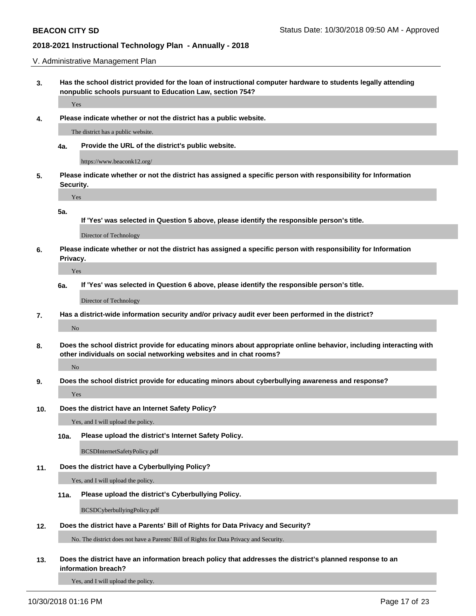V. Administrative Management Plan

**3. Has the school district provided for the loan of instructional computer hardware to students legally attending nonpublic schools pursuant to Education Law, section 754?**

Yes

**4. Please indicate whether or not the district has a public website.**

The district has a public website.

**4a. Provide the URL of the district's public website.**

https://www.beaconk12.org/

**5. Please indicate whether or not the district has assigned a specific person with responsibility for Information Security.**

Yes

**5a.**

**If 'Yes' was selected in Question 5 above, please identify the responsible person's title.**

Director of Technology

**6. Please indicate whether or not the district has assigned a specific person with responsibility for Information Privacy.**

Yes

**6a. If 'Yes' was selected in Question 6 above, please identify the responsible person's title.**

Director of Technology

**7. Has a district-wide information security and/or privacy audit ever been performed in the district?**

No

**8. Does the school district provide for educating minors about appropriate online behavior, including interacting with other individuals on social networking websites and in chat rooms?**

#### No

**9. Does the school district provide for educating minors about cyberbullying awareness and response?**

Yes

**10. Does the district have an Internet Safety Policy?**

Yes, and I will upload the policy.

**10a. Please upload the district's Internet Safety Policy.**

BCSDInternetSafetyPolicy.pdf

**11. Does the district have a Cyberbullying Policy?**

Yes, and I will upload the policy.

#### **11a. Please upload the district's Cyberbullying Policy.**

BCSDCyberbullyingPolicy.pdf

**12. Does the district have a Parents' Bill of Rights for Data Privacy and Security?**

No. The district does not have a Parents' Bill of Rights for Data Privacy and Security.

**13. Does the district have an information breach policy that addresses the district's planned response to an information breach?**

Yes, and I will upload the policy.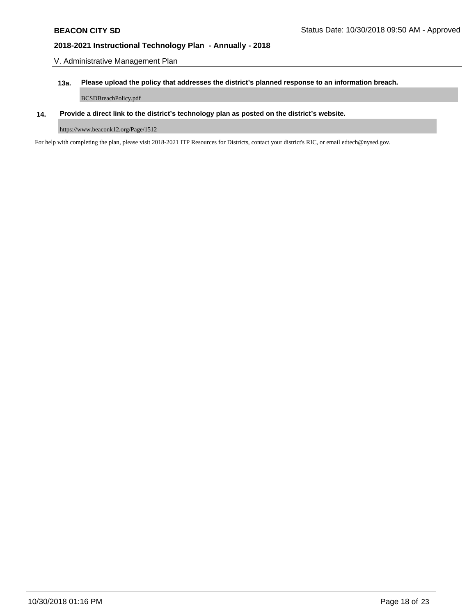V. Administrative Management Plan

## **13a. Please upload the policy that addresses the district's planned response to an information breach.**

BCSDBreachPolicy.pdf

## **14. Provide a direct link to the district's technology plan as posted on the district's website.**

https://www.beaconk12.org/Page/1512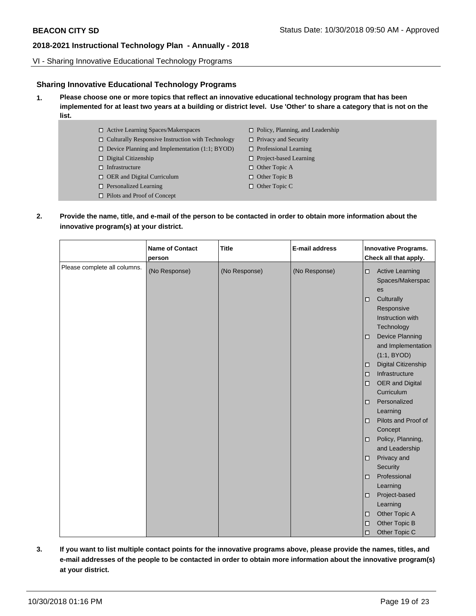VI - Sharing Innovative Educational Technology Programs

## **Sharing Innovative Educational Technology Programs**

- **1. Please choose one or more topics that reflect an innovative educational technology program that has been implemented for at least two years at a building or district level. Use 'Other' to share a category that is not on the list.**
	- □ Active Learning Spaces/Makerspaces
		-
		- $\Box$  Culturally Responsive Instruction with Technology
		- □ Device Planning and Implementation (1:1; BYOD)
		- Digital Citizenship
		- $\hfill\Box$  Infrastructure
		- □ OER and Digital Curriculum
		- □ Personalized Learning
		- □ Pilots and Proof of Concept
- □ Policy, Planning, and Leadership
- $\Box$  Privacy and Security
- □ Professional Learning
- □ Project-based Learning
- □ Other Topic A
- □ Other Topic B
- □ Other Topic C
- **2. Provide the name, title, and e-mail of the person to be contacted in order to obtain more information about the innovative program(s) at your district.**

| (No Response)<br>(No Response)<br>(No Response)<br><b>Active Learning</b><br>$\Box$<br>Spaces/Makerspac<br>es<br>Culturally<br>$\Box$<br>Responsive<br>Instruction with<br>Technology<br><b>Device Planning</b><br>$\Box$<br>and Implementation<br>(1:1, BYOD)<br>Digital Citizenship<br>□<br>Infrastructure<br>$\Box$<br>OER and Digital<br>П<br>Curriculum<br>Personalized<br>□<br>Learning<br>Pilots and Proof of<br>◻<br>Concept<br>Policy, Planning,<br>о<br>and Leadership<br>Privacy and<br>$\Box$<br>Security<br>Professional<br>◻<br>Learning<br>Project-based<br>◻<br>Learning<br>Other Topic A<br>$\Box$<br>Other Topic B<br>◻ |                              | <b>Name of Contact</b><br>person | <b>Title</b> | <b>E-mail address</b> | <b>Innovative Programs.</b><br>Check all that apply. |
|-------------------------------------------------------------------------------------------------------------------------------------------------------------------------------------------------------------------------------------------------------------------------------------------------------------------------------------------------------------------------------------------------------------------------------------------------------------------------------------------------------------------------------------------------------------------------------------------------------------------------------------------|------------------------------|----------------------------------|--------------|-----------------------|------------------------------------------------------|
|                                                                                                                                                                                                                                                                                                                                                                                                                                                                                                                                                                                                                                           | Please complete all columns. |                                  |              |                       |                                                      |
|                                                                                                                                                                                                                                                                                                                                                                                                                                                                                                                                                                                                                                           |                              |                                  |              |                       |                                                      |
|                                                                                                                                                                                                                                                                                                                                                                                                                                                                                                                                                                                                                                           |                              |                                  |              |                       |                                                      |
|                                                                                                                                                                                                                                                                                                                                                                                                                                                                                                                                                                                                                                           |                              |                                  |              |                       |                                                      |
|                                                                                                                                                                                                                                                                                                                                                                                                                                                                                                                                                                                                                                           |                              |                                  |              |                       |                                                      |
|                                                                                                                                                                                                                                                                                                                                                                                                                                                                                                                                                                                                                                           |                              |                                  |              |                       |                                                      |
|                                                                                                                                                                                                                                                                                                                                                                                                                                                                                                                                                                                                                                           |                              |                                  |              |                       |                                                      |
|                                                                                                                                                                                                                                                                                                                                                                                                                                                                                                                                                                                                                                           |                              |                                  |              |                       |                                                      |
|                                                                                                                                                                                                                                                                                                                                                                                                                                                                                                                                                                                                                                           |                              |                                  |              |                       |                                                      |
|                                                                                                                                                                                                                                                                                                                                                                                                                                                                                                                                                                                                                                           |                              |                                  |              |                       |                                                      |
|                                                                                                                                                                                                                                                                                                                                                                                                                                                                                                                                                                                                                                           |                              |                                  |              |                       |                                                      |
|                                                                                                                                                                                                                                                                                                                                                                                                                                                                                                                                                                                                                                           |                              |                                  |              |                       |                                                      |
|                                                                                                                                                                                                                                                                                                                                                                                                                                                                                                                                                                                                                                           |                              |                                  |              |                       |                                                      |
|                                                                                                                                                                                                                                                                                                                                                                                                                                                                                                                                                                                                                                           |                              |                                  |              |                       |                                                      |
|                                                                                                                                                                                                                                                                                                                                                                                                                                                                                                                                                                                                                                           |                              |                                  |              |                       |                                                      |
|                                                                                                                                                                                                                                                                                                                                                                                                                                                                                                                                                                                                                                           |                              |                                  |              |                       |                                                      |
|                                                                                                                                                                                                                                                                                                                                                                                                                                                                                                                                                                                                                                           |                              |                                  |              |                       |                                                      |
|                                                                                                                                                                                                                                                                                                                                                                                                                                                                                                                                                                                                                                           |                              |                                  |              |                       |                                                      |
|                                                                                                                                                                                                                                                                                                                                                                                                                                                                                                                                                                                                                                           |                              |                                  |              |                       |                                                      |
|                                                                                                                                                                                                                                                                                                                                                                                                                                                                                                                                                                                                                                           |                              |                                  |              |                       |                                                      |
|                                                                                                                                                                                                                                                                                                                                                                                                                                                                                                                                                                                                                                           |                              |                                  |              |                       | Other Topic C<br>◻                                   |

**3. If you want to list multiple contact points for the innovative programs above, please provide the names, titles, and e-mail addresses of the people to be contacted in order to obtain more information about the innovative program(s) at your district.**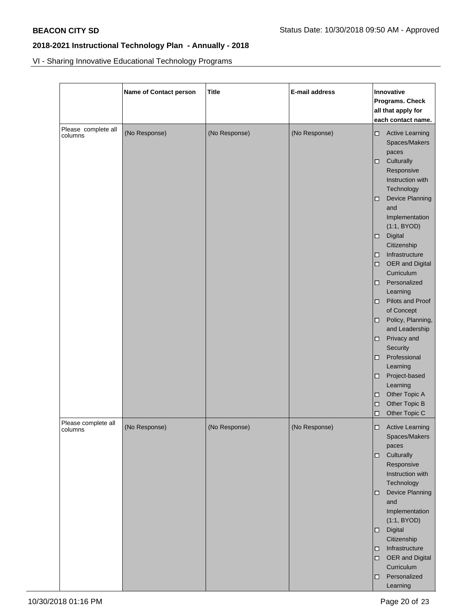VI - Sharing Innovative Educational Technology Programs

|                                | Name of Contact person | <b>Title</b>  | <b>E-mail address</b> | Innovative<br>Programs. Check<br>all that apply for<br>each contact name.                                                                                                                                                                                                                                                                                                                                                                                                                                                                                                |
|--------------------------------|------------------------|---------------|-----------------------|--------------------------------------------------------------------------------------------------------------------------------------------------------------------------------------------------------------------------------------------------------------------------------------------------------------------------------------------------------------------------------------------------------------------------------------------------------------------------------------------------------------------------------------------------------------------------|
| Please complete all<br>columns | (No Response)          | (No Response) | (No Response)         | <b>Active Learning</b><br>□<br>Spaces/Makers<br>paces<br>Culturally<br>□<br>Responsive<br>Instruction with<br>Technology<br>Device Planning<br>□<br>and<br>Implementation<br>(1:1, BYOD)<br>Digital<br>Citizenship<br>Infrastructure<br>□<br>OER and Digital<br>□<br>Curriculum<br>Personalized<br>□<br>Learning<br>Pilots and Proof<br>□<br>of Concept<br>Policy, Planning,<br>□<br>and Leadership<br>Privacy and<br>□<br>Security<br>Professional<br>□<br>Learning<br>Project-based<br>□<br>Learning<br>Other Topic A<br>◻<br>Other Topic B<br>□<br>Other Topic C<br>□ |
| Please complete all<br>columns | (No Response)          | (No Response) | (No Response)         | <b>Active Learning</b><br>□<br>Spaces/Makers<br>paces<br>Culturally<br>□<br>Responsive<br>Instruction with<br>Technology<br>Device Planning<br>□<br>and<br>Implementation<br>(1:1, BYOD)<br>Digital<br>$\Box$<br>Citizenship<br>Infrastructure<br>0<br>OER and Digital<br>$\Box$<br>Curriculum<br>Personalized<br>□.<br>Learning                                                                                                                                                                                                                                         |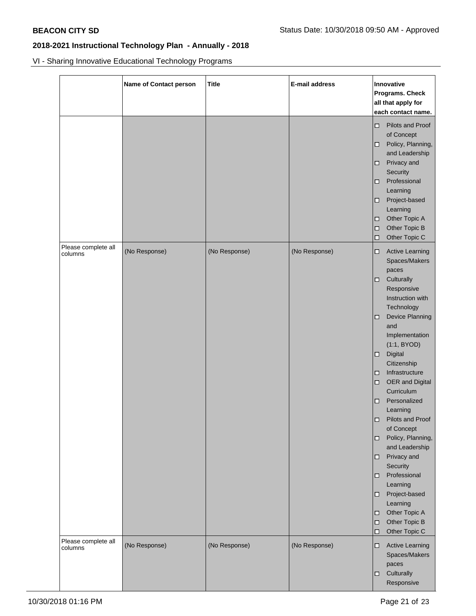VI - Sharing Innovative Educational Technology Programs

|                                | <b>Name of Contact person</b> | <b>Title</b>  | E-mail address | Innovative<br>Programs. Check<br>all that apply for<br>each contact name.                                                                                                                                                                                                                                                                                                                                                                                                                                                                                                            |
|--------------------------------|-------------------------------|---------------|----------------|--------------------------------------------------------------------------------------------------------------------------------------------------------------------------------------------------------------------------------------------------------------------------------------------------------------------------------------------------------------------------------------------------------------------------------------------------------------------------------------------------------------------------------------------------------------------------------------|
|                                |                               |               |                | Pilots and Proof<br>□<br>of Concept<br>Policy, Planning,<br>and Leadership<br>Privacy and<br>Security<br>Professional<br>Learning<br>Project-based<br>Learning<br>Other Topic A<br>о<br>Other Topic B<br>$\Box$<br>Other Topic C<br>□                                                                                                                                                                                                                                                                                                                                                |
| Please complete all<br>columns | (No Response)                 | (No Response) | (No Response)  | <b>Active Learning</b><br>□<br>Spaces/Makers<br>paces<br>Culturally<br>Responsive<br>Instruction with<br>Technology<br><b>Device Planning</b><br>□<br>and<br>Implementation<br>(1:1, BYOD)<br>Digital<br>$\Box$<br>Citizenship<br>Infrastructure<br>□<br>OER and Digital<br>о<br>Curriculum<br>Personalized<br>□<br>Learning<br>Pilots and Proof<br>□<br>of Concept<br>Policy, Planning,<br>□<br>and Leadership<br>Privacy and<br>□<br>Security<br>Professional<br>□<br>Learning<br>Project-based<br>□<br>Learning<br>Other Topic A<br>◻<br>Other Topic B<br>□<br>Other Topic C<br>□ |
| Please complete all<br>columns | (No Response)                 | (No Response) | (No Response)  | <b>Active Learning</b><br>□<br>Spaces/Makers<br>paces<br>Culturally<br>□<br>Responsive                                                                                                                                                                                                                                                                                                                                                                                                                                                                                               |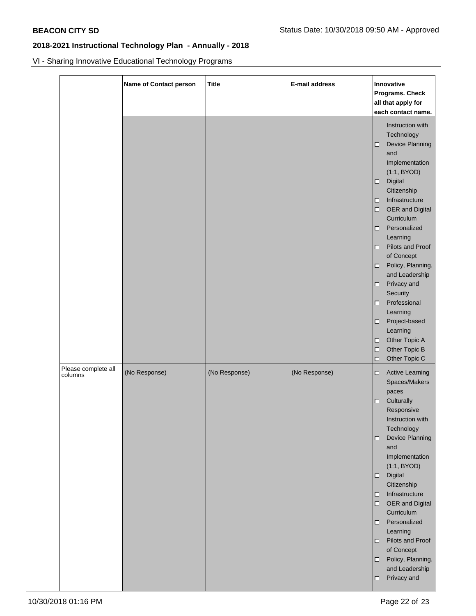VI - Sharing Innovative Educational Technology Programs

|                                | <b>Name of Contact person</b> | <b>Title</b>  | E-mail address | Innovative<br>Programs. Check<br>all that apply for<br>each contact name.                                                                                                                                                                                                                                                                                                                                                                                                                                   |
|--------------------------------|-------------------------------|---------------|----------------|-------------------------------------------------------------------------------------------------------------------------------------------------------------------------------------------------------------------------------------------------------------------------------------------------------------------------------------------------------------------------------------------------------------------------------------------------------------------------------------------------------------|
|                                |                               |               |                | Instruction with<br>Technology<br><b>Device Planning</b><br>□<br>and<br>Implementation<br>(1:1, BYOD)<br>Digital<br>□.<br>Citizenship<br>Infrastructure<br>□.<br>OER and Digital<br>0<br>Curriculum<br>Personalized<br>0<br>Learning<br>Pilots and Proof<br>$\Box$<br>of Concept<br>Policy, Planning,<br>□<br>and Leadership<br>Privacy and<br>□<br>Security<br>Professional<br>0<br>Learning<br>Project-based<br>□<br>Learning<br>Other Topic A<br>□<br>Other Topic B<br>$\Box$<br>Other Topic C<br>$\Box$ |
| Please complete all<br>columns | (No Response)                 | (No Response) | (No Response)  | <b>Active Learning</b><br>□<br>Spaces/Makers<br>paces<br>Culturally<br>□.<br>Responsive<br>Instruction with<br>Technology<br>Device Planning<br>□<br>and<br>Implementation<br>(1:1, BYOD)<br>Digital<br>$\Box$<br>Citizenship<br>Infrastructure<br>□<br>OER and Digital<br>$\Box$<br>Curriculum<br>Personalized<br>□<br>Learning<br>Pilots and Proof<br>0<br>of Concept<br>Policy, Planning,<br>0<br>and Leadership<br>Privacy and<br>□                                                                     |